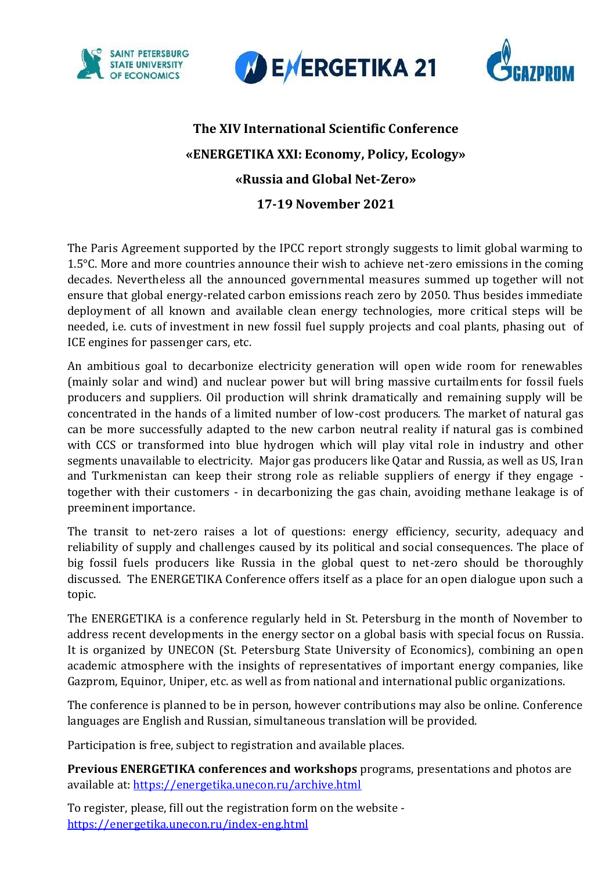





## **The XIV International Scientific Conference «ENERGETIKA XXI: Economy, Policy, Ecology» «Russia and Global Net-Zero» 17-19 November 2021**

The Paris Agreement supported by the IPCC report strongly suggests to limit global warming to 1.5°C. More and more countries announce their wish to achieve net-zero emissions in the coming decades. Nevertheless all the announced governmental measures summed up together will not ensure that global energy-related carbon emissions reach zero by 2050. Thus besides immediate deployment of all known and available clean energy technologies, more critical steps will be needed, i.e. cuts of investment in new fossil fuel supply projects and coal plants, phasing out of ICE engines for passenger cars, etc.

An ambitious goal to decarbonize electricity generation will open wide room for renewables (mainly solar and wind) and nuclear power but will bring massive curtailments for fossil fuels producers and suppliers. Oil production will shrink dramatically and remaining supply will be concentrated in the hands of a limited number of low-cost producers. The market of natural gas can be more successfully adapted to the new carbon neutral reality if natural gas is combined with CCS or transformed into blue hydrogen which will play vital role in industry and other segments unavailable to electricity. Major gas producers like Qatar and Russia, as well as US, Iran and Turkmenistan can keep their strong role as reliable suppliers of energy if they engage together with their customers - in decarbonizing the gas chain, avoiding methane leakage is of preeminent importance.

The transit to net-zero raises a lot of questions: energy efficiency, security, adequacy and reliability of supply and challenges caused by its political and social consequences. The place of big fossil fuels producers like Russia in the global quest to net-zero should be thoroughly discussed. The ENERGETIKA Conference offers itself as a place for an open dialogue upon such a topic.

The ENERGETIKA is a conference regularly held in St. Petersburg in the month of November to address recent developments in the energy sector on a global basis with special focus on Russia. It is organized by UNECON (St. Petersburg State University of Economics), combining an open academic atmosphere with the insights of representatives of important energy companies, like Gazprom, Equinor, Uniper, etc. as well as from national and international public organizations.

The conference is planned to be in person, however contributions may also be online. Conference languages are English and Russian, simultaneous translation will be provided.

Participation is free, subject to registration and available places.

**Previous ENERGETIKA conferences and workshops** programs, presentations and photos are available at: <https://energetika.unecon.ru/archive.html>

To register, please, fill out the registration form on the website <https://energetika.unecon.ru/index-eng.html>